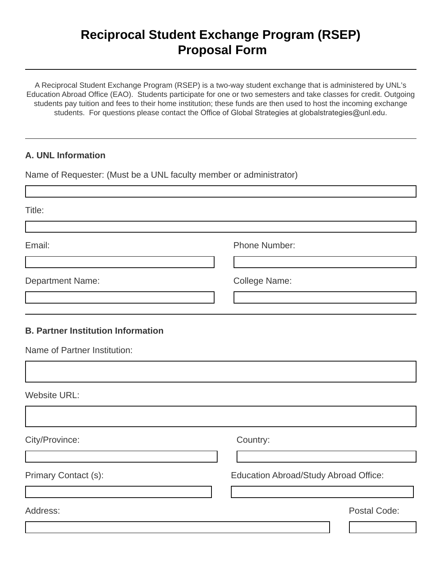# **Reciprocal Student Exchange Program (RSEP) Proposal Form**

A Reciprocal Student Exchange Program (RSEP) is a two-way student exchange that is administered by UNL's Education Abroad Office (EAO). Students participate for one or two semesters and take classes for credit. Outgoing students pay tuition and fees to their home institution; these funds are then used to host the incoming exchange students. For questions please contact the Office of Global Strategies at globalstrategies@unl.edu.

### **A. UNL Information**

Name of Requester: (Must be a UNL faculty member or administrator)

Title: Email: **Email:** Phone Number: Department Name: College Name: **B. Partner Institution Information** Name of Partner Institution: Website URL: City/Province: Country: Primary Contact (s): <br>
Education Abroad/Study Abroad Office: Address: Postal Code: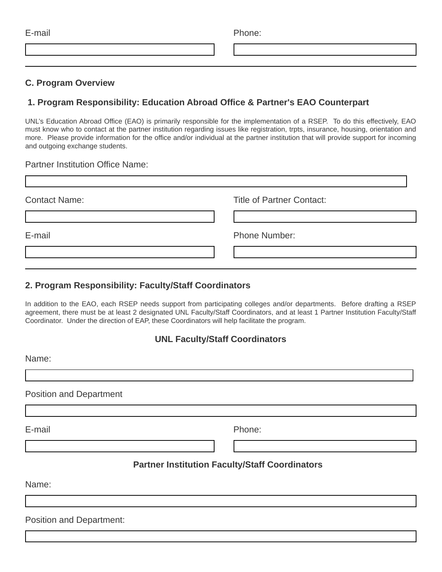| E-mail | Phone: |
|--------|--------|
|        |        |

#### **C. Program Overview**

## **1. Program Responsibility: Education Abroad Office & Partner's EAO Counterpart**

UNL's Education Abroad Office (EAO) is primarily responsible for the implementation of a RSEP. To do this effectively, EAO must know who to contact at the partner institution regarding issues like registration, trpts, insurance, housing, orientation and more. Please provide information for the office and/or individual at the partner institution that will provide support for incoming and outgoing exchange students.

#### Partner Institution Office Name:

| <b>Contact Name:</b> | <b>Title of Partner Contact:</b> |
|----------------------|----------------------------------|
|                      |                                  |
| E-mail               | Phone Number:                    |
|                      |                                  |

#### **2. Program Responsibility: Faculty/Staff Coordinators**

In addition to the EAO, each RSEP needs support from participating colleges and/or departments. Before drafting a RSEP agreement, there must be at least 2 designated UNL Faculty/Staff Coordinators, and at least 1 Partner Institution Faculty/Staff Coordinator. Under the direction of EAP, these Coordinators will help facilitate the program.

## **UNL Faculty/Staff Coordinators**

Name:

Position and Department

E-mail Phone:

## **Partner Institution Faculty/Staff Coordinators**

Name:

Position and Department: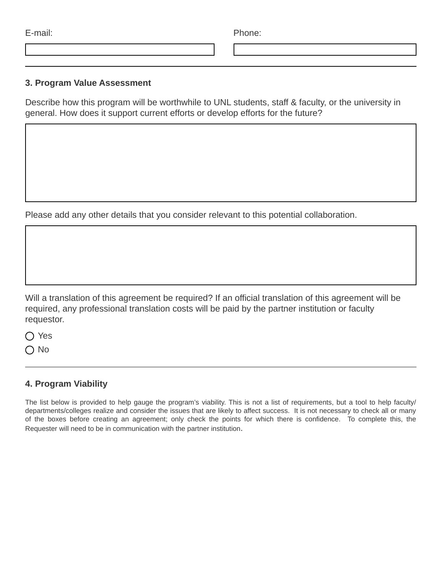| E-mail: | Phone: |
|---------|--------|
|         |        |

#### **3. Program Value Assessment**

Describe how this program will be worthwhile to UNL students, staff & faculty, or the university in general. How does it support current efforts or develop efforts for the future?

Please add any other details that you consider relevant to this potential collaboration.

Will a translation of this agreement be required? If an official translation of this agreement will be required, any professional translation costs will be paid by the partner institution or faculty requestor.

◯ Yes

 $\bigcap$  No

# **4. Program Viability**

The list below is provided to help gauge the program's viability. This is not a list of requirements, but a tool to help faculty/ departments/colleges realize and consider the issues that are likely to affect success. It is not necessary to check all or many of the boxes before creating an agreement; only check the points for which there is confidence. To complete this, the Requester will need to be in communication with the partner institution.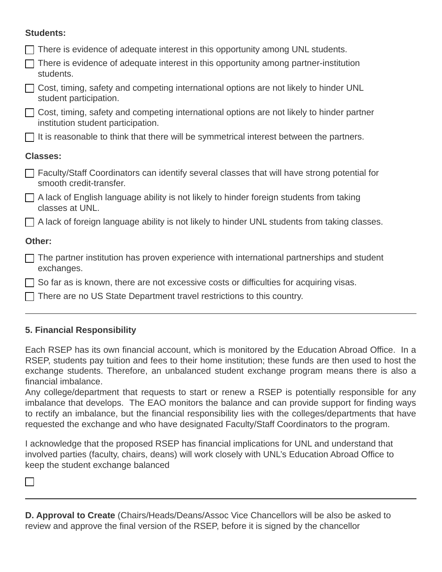## **Students:**

| There is evidence of adequate interest in this opportunity among UNL students.                                                  |
|---------------------------------------------------------------------------------------------------------------------------------|
| There is evidence of adequate interest in this opportunity among partner-institution<br>students.                               |
| Cost, timing, safety and competing international options are not likely to hinder UNL<br>student participation.                 |
| Cost, timing, safety and competing international options are not likely to hinder partner<br>institution student participation. |
| $\Box$ It is reasonable to think that there will be symmetrical interest between the partners.                                  |
| <b>Classes:</b>                                                                                                                 |
| □ Faculty/Staff Coordinators can identify several classes that will have strong potential for<br>smooth credit-transfer.        |
| □ A lack of English language ability is not likely to hinder foreign students from taking<br>classes at UNL.                    |
| $\Box$ A lack of foreign language ability is not likely to hinder UNL students from taking classes.                             |
| Other:                                                                                                                          |
| The partner institution has proven experience with international partnerships and student<br>exchanges.                         |
| So far as is known, there are not excessive costs or difficulties for acquiring visas.                                          |
| There are no US State Department travel restrictions to this country.                                                           |

# **5. Financial Responsibility**

Each RSEP has its own financial account, which is monitored by the Education Abroad Office. In a RSEP, students pay tuition and fees to their home institution; these funds are then used to host the exchange students. Therefore, an unbalanced student exchange program means there is also a financial imbalance.

Any college/department that requests to start or renew a RSEP is potentially responsible for any imbalance that develops. The EAO monitors the balance and can provide support for finding ways to rectify an imbalance, but the financial responsibility lies with the colleges/departments that have requested the exchange and who have designated Faculty/Staff Coordinators to the program.

I acknowledge that the proposed RSEP has financial implications for UNL and understand that involved parties (faculty, chairs, deans) will work closely with UNL's Education Abroad Office to keep the student exchange balanced

 $\Box$ 

**D. Approval to Create** (Chairs/Heads/Deans/Assoc Vice Chancellors will be also be asked to review and approve the final version of the RSEP, before it is signed by the chancellor